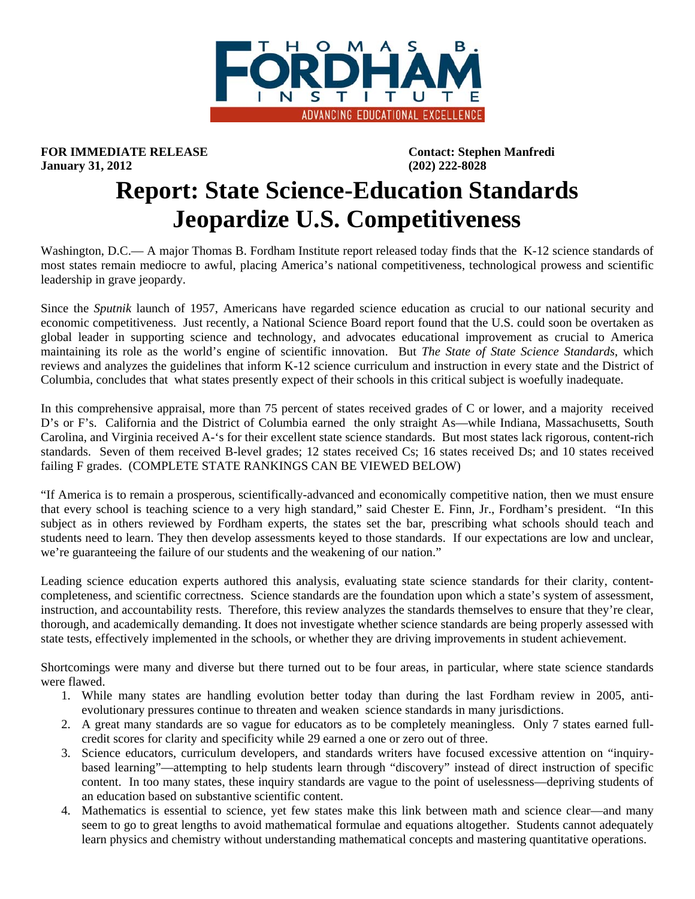

**FOR IMMEDIATE RELEASE CONTACT: Stephen Manfredi January 31, 2012 (202) 222-8028** 

## **Report: State Science-Education Standards Jeopardize U.S. Competitiveness**

Washington, D.C.— A major Thomas B. Fordham Institute report released today finds that the K-12 science standards of most states remain mediocre to awful, placing America's national competitiveness, technological prowess and scientific leadership in grave jeopardy.

Since the *Sputnik* launch of 1957, Americans have regarded science education as crucial to our national security and economic competitiveness. Just recently, a National Science Board report found that the U.S. could soon be overtaken as global leader in supporting science and technology, and advocates educational improvement as crucial to America maintaining its role as the world's engine of scientific innovation. But *The State of State Science Standards*, which reviews and analyzes the guidelines that inform K-12 science curriculum and instruction in every state and the District of Columbia, concludes that what states presently expect of their schools in this critical subject is woefully inadequate.

In this comprehensive appraisal, more than 75 percent of states received grades of C or lower, and a majority received D's or F's. California and the District of Columbia earned the only straight As—while Indiana, Massachusetts, South Carolina, and Virginia received A-'s for their excellent state science standards. But most states lack rigorous, content-rich standards. Seven of them received B-level grades; 12 states received Cs; 16 states received Ds; and 10 states received failing F grades. (COMPLETE STATE RANKINGS CAN BE VIEWED BELOW)

"If America is to remain a prosperous, scientifically-advanced and economically competitive nation, then we must ensure that every school is teaching science to a very high standard," said Chester E. Finn, Jr., Fordham's president. "In this subject as in others reviewed by Fordham experts, the states set the bar, prescribing what schools should teach and students need to learn. They then develop assessments keyed to those standards. If our expectations are low and unclear, we're guaranteeing the failure of our students and the weakening of our nation."

Leading science education experts authored this analysis, evaluating state science standards for their clarity, contentcompleteness, and scientific correctness. Science standards are the foundation upon which a state's system of assessment, instruction, and accountability rests. Therefore, this review analyzes the standards themselves to ensure that they're clear, thorough, and academically demanding. It does not investigate whether science standards are being properly assessed with state tests, effectively implemented in the schools, or whether they are driving improvements in student achievement.

Shortcomings were many and diverse but there turned out to be four areas, in particular, where state science standards were flawed.

- 1. While many states are handling evolution better today than during the last Fordham review in 2005, antievolutionary pressures continue to threaten and weaken science standards in many jurisdictions.
- 2. A great many standards are so vague for educators as to be completely meaningless. Only 7 states earned fullcredit scores for clarity and specificity while 29 earned a one or zero out of three.
- 3. Science educators, curriculum developers, and standards writers have focused excessive attention on "inquirybased learning"—attempting to help students learn through "discovery" instead of direct instruction of specific content. In too many states, these inquiry standards are vague to the point of uselessness—depriving students of an education based on substantive scientific content.
- 4. Mathematics is essential to science, yet few states make this link between math and science clear—and many seem to go to great lengths to avoid mathematical formulae and equations altogether. Students cannot adequately learn physics and chemistry without understanding mathematical concepts and mastering quantitative operations.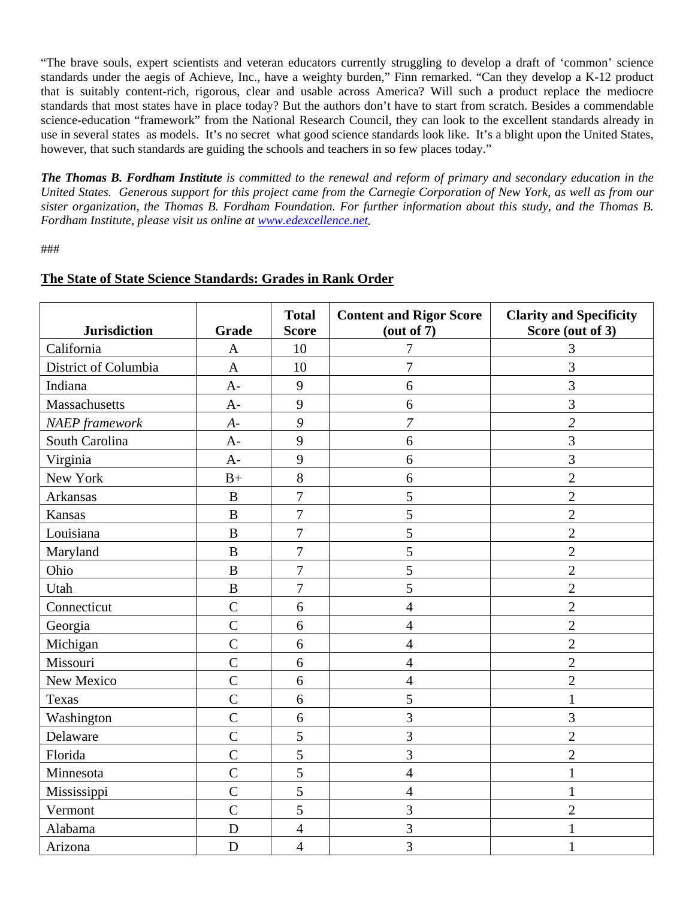"The brave souls, expert scientists and veteran educators currently struggling to develop a draft of 'common' science standards under the aegis of Achieve, Inc., have a weighty burden," Finn remarked. "Can they develop a K-12 product that is suitably content-rich, rigorous, clear and usable across America? Will such a product replace the mediocre standards that most states have in place today? But the authors don't have to start from scratch. Besides a commendable science-education "framework" from the National Research Council, they can look to the excellent standards already in use in several states as models. It's no secret what good science standards look like. It's a blight upon the United States, however, that such standards are guiding the schools and teachers in so few places today."

*The Thomas B. Fordham Institute is committed to the renewal and reform of primary and secondary education in the United States. Generous support for this project came from the Carnegie Corporation of New York, as well as from our sister organization, the Thomas B. Fordham Foundation. For further information about this study, and the Thomas B. Fordham Institute, please visit us online at www.edexcellence.net.*

###

| <b>Jurisdiction</b>   | <b>Grade</b>   | <b>Total</b><br><b>Score</b> | <b>Content and Rigor Score</b><br>(out of 7) | <b>Clarity and Specificity</b><br>Score (out of 3) |
|-----------------------|----------------|------------------------------|----------------------------------------------|----------------------------------------------------|
| California            | $\mathbf{A}$   | 10                           | 7                                            | 3                                                  |
| District of Columbia  | $\mathbf{A}$   | 10                           | 7                                            | 3                                                  |
| Indiana               | $A-$           | 9                            | 6                                            | 3                                                  |
| Massachusetts         | $A-$           | 9                            | 6                                            | 3                                                  |
| <b>NAEP</b> framework | $A-$           | 9                            | 7                                            | $\overline{2}$                                     |
| South Carolina        | $A-$           | 9                            | 6                                            | 3                                                  |
| Virginia              | $A-$           | 9                            | 6                                            | 3                                                  |
| New York              | $B+$           | 8                            | 6                                            | $\overline{2}$                                     |
| Arkansas              | $\overline{B}$ | $\overline{7}$               | 5                                            | $\overline{2}$                                     |
| Kansas                | $\overline{B}$ | $\overline{7}$               | 5                                            | $\overline{2}$                                     |
| Louisiana             | $\overline{B}$ | $\overline{7}$               | 5                                            | $\overline{2}$                                     |
| Maryland              | $\, {\bf B}$   | $\boldsymbol{7}$             | 5                                            | $\overline{2}$                                     |
| Ohio                  | $\overline{B}$ | $\overline{7}$               | 5                                            | $\overline{2}$                                     |
| Utah                  | $\overline{B}$ | $\overline{7}$               | 5                                            | $\overline{2}$                                     |
| Connecticut           | $\overline{C}$ | 6                            | 4                                            | $\overline{2}$                                     |
| Georgia               | $\overline{C}$ | 6                            | 4                                            | $\overline{2}$                                     |
| Michigan              | $\overline{C}$ | 6                            | $\overline{4}$                               | $\overline{2}$                                     |
| Missouri              | $\overline{C}$ | 6                            | 4                                            | $\overline{2}$                                     |
| New Mexico            | $\overline{C}$ | 6                            | 4                                            | $\overline{2}$                                     |
| Texas                 | $\overline{C}$ | 6                            | 5                                            | $\mathbf{1}$                                       |
| Washington            | $\overline{C}$ | 6                            | 3                                            | 3                                                  |
| Delaware              | $\overline{C}$ | 5                            | 3                                            | $\overline{2}$                                     |
| Florida               | $\overline{C}$ | 5                            | 3                                            | $\overline{2}$                                     |
| Minnesota             | $\overline{C}$ | 5                            | $\overline{4}$                               | $\mathbf{1}$                                       |
| Mississippi           | $\overline{C}$ | 5                            | $\overline{4}$                               | $\mathbf{1}$                                       |
| Vermont               | $\overline{C}$ | 5                            | 3                                            | $\overline{2}$                                     |
| Alabama               | D              | $\overline{4}$               | 3                                            |                                                    |
| Arizona               | D              | $\overline{4}$               | $\overline{3}$                               | 1                                                  |

## **The State of State Science Standards: Grades in Rank Order**